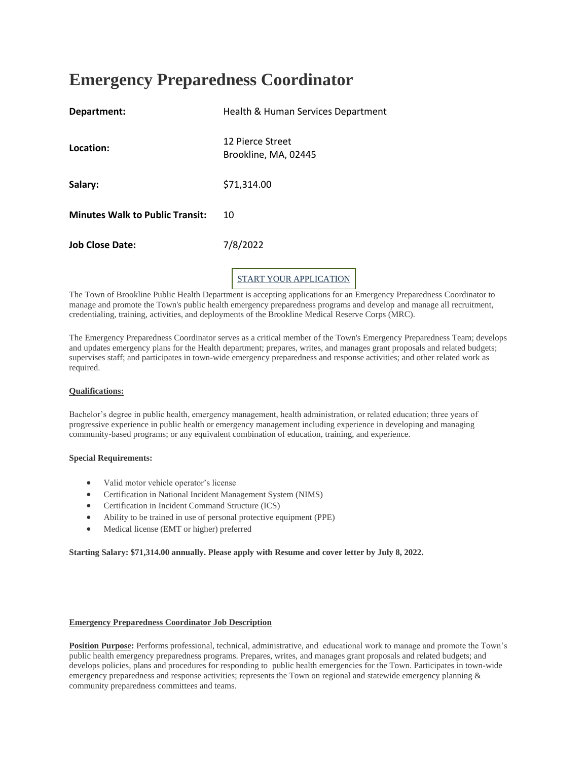# **Emergency Preparedness Coordinator**

| Department:                            | Health & Human Services Department       |
|----------------------------------------|------------------------------------------|
| Location:                              | 12 Pierce Street<br>Brookline, MA, 02445 |
| Salary:                                | \$71,314.00                              |
| <b>Minutes Walk to Public Transit:</b> | 10                                       |
| <b>Job Close Date:</b>                 | 7/8/2022                                 |
|                                        | UR APPLICATION                           |

The Town of Brookline Public Health Department is accepting applications for an Emergency Preparedness Coordinator to manage and promote the Town's public health emergency preparedness programs and develop and manage all recruitment, credentialing, training, activities, and deployments of the Brookline Medical Reserve Corps (MRC).

The Emergency Preparedness Coordinator serves as a critical member of the Town's Emergency Preparedness Team; develops and updates emergency plans for the Health department; prepares, writes, and manages grant proposals and related budgets; supervises staff; and participates in town-wide emergency preparedness and response activities; and other related work as required.

# **Qualifications:**

Bachelor's degree in public health, emergency management, health administration, or related education; three years of progressive experience in public health or emergency management including experience in developing and managing community-based programs; or any equivalent combination of education, training, and experience.

## **Special Requirements:**

- Valid motor vehicle operator's license
- Certification in National Incident Management System (NIMS)
- Certification in Incident Command Structure (ICS)
- Ability to be trained in use of personal protective equipment (PPE)
- Medical license (EMT or higher) preferred

**Starting Salary: \$71,314.00 annually. Please apply with Resume and cover letter by July 8, 2022.**

# **Emergency Preparedness Coordinator Job Description**

**Position Purpose:** Performs professional, technical, administrative, and educational work to manage and promote the Town's public health emergency preparedness programs. Prepares, writes, and manages grant proposals and related budgets; and develops policies, plans and procedures for responding to public health emergencies for the Town. Participates in town-wide emergency preparedness and response activities; represents the Town on regional and statewide emergency planning & community preparedness committees and teams.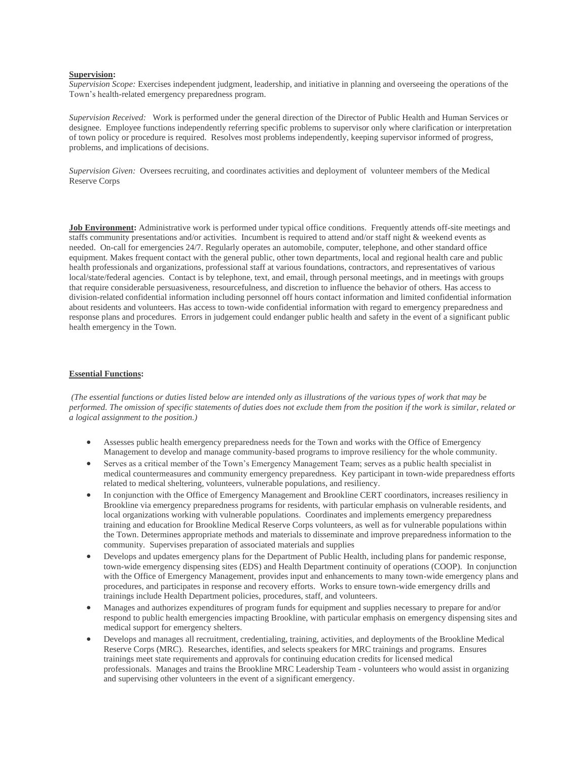# **Supervision:**

*Supervision Scope:* Exercises independent judgment, leadership, and initiative in planning and overseeing the operations of the Town's health-related emergency preparedness program.

*Supervision Received:* Work is performed under the general direction of the Director of Public Health and Human Services or designee. Employee functions independently referring specific problems to supervisor only where clarification or interpretation of town policy or procedure is required. Resolves most problems independently, keeping supervisor informed of progress, problems, and implications of decisions.

*Supervision Given:* Oversees recruiting, and coordinates activities and deployment of volunteer members of the Medical Reserve Corps

**Job Environment:** Administrative work is performed under typical office conditions. Frequently attends off-site meetings and staffs community presentations and/or activities. Incumbent is required to attend and/or staff night & weekend events as needed. On-call for emergencies 24/7. Regularly operates an automobile, computer, telephone, and other standard office equipment. Makes frequent contact with the general public, other town departments, local and regional health care and public health professionals and organizations, professional staff at various foundations, contractors, and representatives of various local/state/federal agencies. Contact is by telephone, text, and email, through personal meetings, and in meetings with groups that require considerable persuasiveness, resourcefulness, and discretion to influence the behavior of others. Has access to division-related confidential information including personnel off hours contact information and limited confidential information about residents and volunteers. Has access to town-wide confidential information with regard to emergency preparedness and response plans and procedures. Errors in judgement could endanger public health and safety in the event of a significant public health emergency in the Town.

## **Essential Functions:**

*(The essential functions or duties listed below are intended only as illustrations of the various types of work that may be performed. The omission of specific statements of duties does not exclude them from the position if the work is similar, related or a logical assignment to the position.)*

- Assesses public health emergency preparedness needs for the Town and works with the Office of Emergency Management to develop and manage community-based programs to improve resiliency for the whole community.
- Serves as a critical member of the Town's Emergency Management Team; serves as a public health specialist in medical countermeasures and community emergency preparedness. Key participant in town-wide preparedness efforts related to medical sheltering, volunteers, vulnerable populations, and resiliency.
- In conjunction with the Office of Emergency Management and Brookline CERT coordinators, increases resiliency in Brookline via emergency preparedness programs for residents, with particular emphasis on vulnerable residents, and local organizations working with vulnerable populations. Coordinates and implements emergency preparedness training and education for Brookline Medical Reserve Corps volunteers, as well as for vulnerable populations within the Town. Determines appropriate methods and materials to disseminate and improve preparedness information to the community. Supervises preparation of associated materials and supplies
- Develops and updates emergency plans for the Department of Public Health, including plans for pandemic response, town-wide emergency dispensing sites (EDS) and Health Department continuity of operations (COOP). In conjunction with the Office of Emergency Management, provides input and enhancements to many town-wide emergency plans and procedures, and participates in response and recovery efforts. Works to ensure town-wide emergency drills and trainings include Health Department policies, procedures, staff, and volunteers.
- Manages and authorizes expenditures of program funds for equipment and supplies necessary to prepare for and/or respond to public health emergencies impacting Brookline, with particular emphasis on emergency dispensing sites and medical support for emergency shelters.
- Develops and manages all recruitment, credentialing, training, activities, and deployments of the Brookline Medical Reserve Corps (MRC). Researches, identifies, and selects speakers for MRC trainings and programs. Ensures trainings meet state requirements and approvals for continuing education credits for licensed medical professionals. Manages and trains the Brookline MRC Leadership Team - volunteers who would assist in organizing and supervising other volunteers in the event of a significant emergency.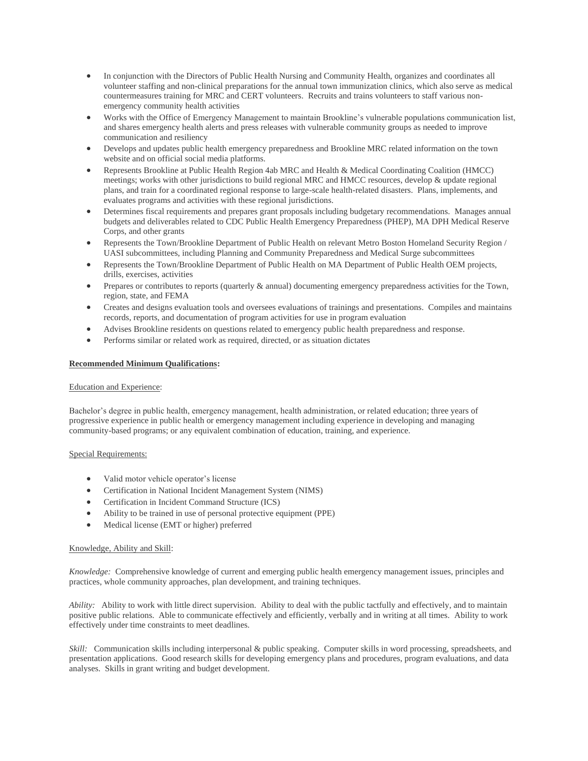- In conjunction with the Directors of Public Health Nursing and Community Health, organizes and coordinates all volunteer staffing and non-clinical preparations for the annual town immunization clinics, which also serve as medical countermeasures training for MRC and CERT volunteers. Recruits and trains volunteers to staff various nonemergency community health activities
- Works with the Office of Emergency Management to maintain Brookline's vulnerable populations communication list, and shares emergency health alerts and press releases with vulnerable community groups as needed to improve communication and resiliency
- Develops and updates public health emergency preparedness and Brookline MRC related information on the town website and on official social media platforms.
- Represents Brookline at Public Health Region 4ab MRC and Health & Medical Coordinating Coalition (HMCC) meetings; works with other jurisdictions to build regional MRC and HMCC resources, develop & update regional plans, and train for a coordinated regional response to large-scale health-related disasters. Plans, implements, and evaluates programs and activities with these regional jurisdictions.
- Determines fiscal requirements and prepares grant proposals including budgetary recommendations. Manages annual budgets and deliverables related to CDC Public Health Emergency Preparedness (PHEP), MA DPH Medical Reserve Corps, and other grants
- Represents the Town/Brookline Department of Public Health on relevant Metro Boston Homeland Security Region / UASI subcommittees, including Planning and Community Preparedness and Medical Surge subcommittees
- Represents the Town/Brookline Department of Public Health on MA Department of Public Health OEM projects, drills, exercises, activities
- Prepares or contributes to reports (quarterly & annual) documenting emergency preparedness activities for the Town, region, state, and FEMA
- Creates and designs evaluation tools and oversees evaluations of trainings and presentations. Compiles and maintains records, reports, and documentation of program activities for use in program evaluation
- Advises Brookline residents on questions related to emergency public health preparedness and response.
- Performs similar or related work as required, directed, or as situation dictates

# **Recommended Minimum Qualifications:**

## Education and Experience:

Bachelor's degree in public health, emergency management, health administration, or related education; three years of progressive experience in public health or emergency management including experience in developing and managing community-based programs; or any equivalent combination of education, training, and experience.

# Special Requirements:

- Valid motor vehicle operator's license
- Certification in National Incident Management System (NIMS)
- Certification in Incident Command Structure (ICS)
- Ability to be trained in use of personal protective equipment (PPE)
- Medical license (EMT or higher) preferred

# Knowledge, Ability and Skill:

*Knowledge:* Comprehensive knowledge of current and emerging public health emergency management issues, principles and practices, whole community approaches, plan development, and training techniques.

*Ability:* Ability to work with little direct supervision. Ability to deal with the public tactfully and effectively, and to maintain positive public relations. Able to communicate effectively and efficiently, verbally and in writing at all times. Ability to work effectively under time constraints to meet deadlines.

*Skill:* Communication skills including interpersonal & public speaking. Computer skills in word processing, spreadsheets, and presentation applications. Good research skills for developing emergency plans and procedures, program evaluations, and data analyses. Skills in grant writing and budget development.